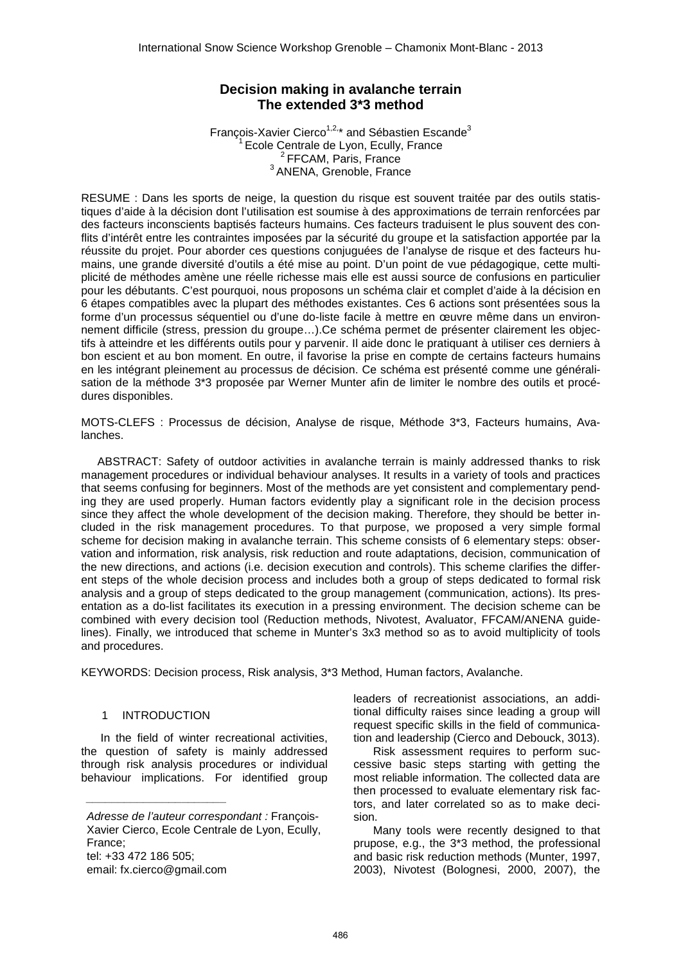# **Decision making in avalanche terrain The extended 3\*3 method**

François-Xavier Cierco<sup>1,2,\*</sup> and Sébastien Escande<sup>3</sup>  $1$  Ecole Centrale de Lvon, Ecully, France <sup>2</sup> FFCAM, Paris, France <sup>3</sup> ANENA, Grenoble, France

RESUME : Dans les sports de neige, la question du risque est souvent traitée par des outils statistiques d'aide à la décision dont l'utilisation est soumise à des approximations de terrain renforcées par des facteurs inconscients baptisés facteurs humains. Ces facteurs traduisent le plus souvent des conflits d'intérêt entre les contraintes imposées par la sécurité du groupe et la satisfaction apportée par la réussite du projet. Pour aborder ces questions conjuguées de l'analyse de risque et des facteurs humains, une grande diversité d'outils a été mise au point. D'un point de vue pédagogique, cette multiplicité de méthodes amène une réelle richesse mais elle est aussi source de confusions en particulier pour les débutants. C'est pourquoi, nous proposons un schéma clair et complet d'aide à la décision en 6 étapes compatibles avec la plupart des méthodes existantes. Ces 6 actions sont présentées sous la forme d'un processus séquentiel ou d'une do-liste facile à mettre en œuvre même dans un environnement difficile (stress, pression du groupe…).Ce schéma permet de présenter clairement les objectifs à atteindre et les différents outils pour y parvenir. Il aide donc le pratiquant à utiliser ces derniers à bon escient et au bon moment. En outre, il favorise la prise en compte de certains facteurs humains en les intégrant pleinement au processus de décision. Ce schéma est présenté comme une généralisation de la méthode 3\*3 proposée par Werner Munter afin de limiter le nombre des outils et procédures disponibles.

MOTS-CLEFS : Processus de décision, Analyse de risque, Méthode 3\*3, Facteurs humains, Avalanches.

ABSTRACT: Safety of outdoor activities in avalanche terrain is mainly addressed thanks to risk management procedures or individual behaviour analyses. It results in a variety of tools and practices that seems confusing for beginners. Most of the methods are yet consistent and complementary pending they are used properly. Human factors evidently play a significant role in the decision process since they affect the whole development of the decision making. Therefore, they should be better included in the risk management procedures. To that purpose, we proposed a very simple formal scheme for decision making in avalanche terrain. This scheme consists of 6 elementary steps: observation and information, risk analysis, risk reduction and route adaptations, decision, communication of the new directions, and actions (i.e. decision execution and controls). This scheme clarifies the different steps of the whole decision process and includes both a group of steps dedicated to formal risk analysis and a group of steps dedicated to the group management (communication, actions). Its presentation as a do-list facilitates its execution in a pressing environment. The decision scheme can be combined with every decision tool (Reduction methods, Nivotest, Avaluator, FFCAM/ANENA guidelines). Finally, we introduced that scheme in Munter's 3x3 method so as to avoid multiplicity of tools and procedures.

KEYWORDS: Decision process, Risk analysis, 3\*3 Method, Human factors, Avalanche.

#### 1 INTRODUCTION

 $\overline{\phantom{a}}$  , where  $\overline{\phantom{a}}$  , where  $\overline{\phantom{a}}$  , where  $\overline{\phantom{a}}$  , where  $\overline{\phantom{a}}$ 

In the field of winter recreational activities, the question of safety is mainly addressed through risk analysis procedures or individual behaviour implications. For identified group

Adresse de l'auteur correspondant : François-Xavier Cierco, Ecole Centrale de Lyon, Ecully, France; tel: +33 472 186 505; email: fx.cierco@gmail.com

leaders of recreationist associations, an additional difficulty raises since leading a group will request specific skills in the field of communication and leadership (Cierco and Debouck, 3013).

Risk assessment requires to perform successive basic steps starting with getting the most reliable information. The collected data are then processed to evaluate elementary risk factors, and later correlated so as to make decision.

Many tools were recently designed to that prupose, e.g., the 3\*3 method, the professional and basic risk reduction methods (Munter, 1997, 2003), Nivotest (Bolognesi, 2000, 2007), the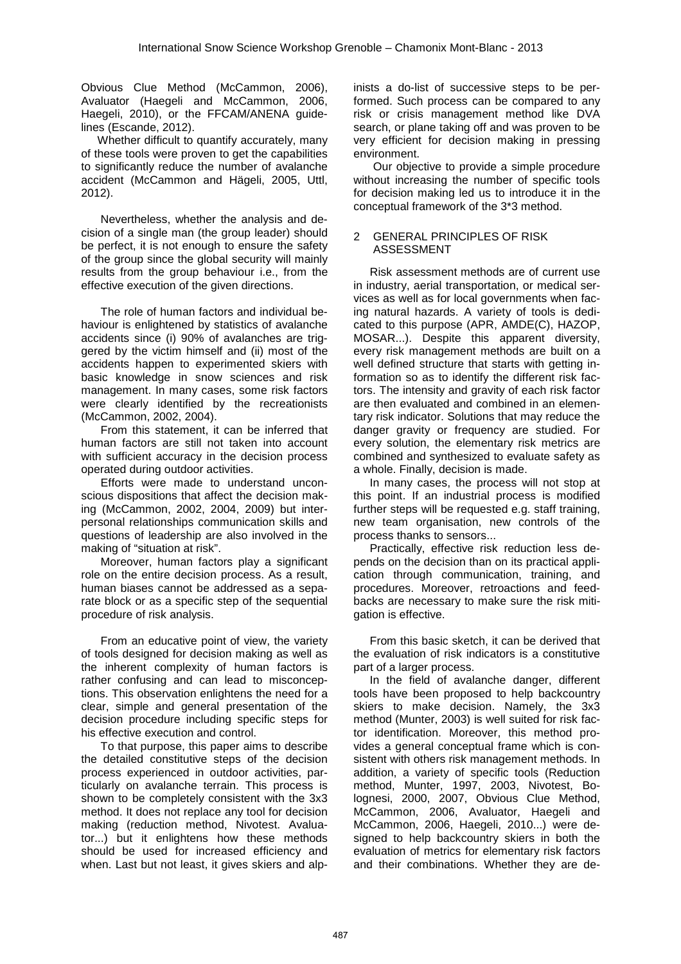Obvious Clue Method (McCammon, 2006), Avaluator (Haegeli and McCammon, 2006, Haegeli, 2010), or the FFCAM/ANENA guidelines (Escande, 2012).

Whether difficult to quantify accurately, many of these tools were proven to get the capabilities to significantly reduce the number of avalanche accident (McCammon and Hägeli, 2005, Uttl, 2012).

Nevertheless, whether the analysis and decision of a single man (the group leader) should be perfect, it is not enough to ensure the safety of the group since the global security will mainly results from the group behaviour i.e., from the effective execution of the given directions.

The role of human factors and individual behaviour is enlightened by statistics of avalanche accidents since (i) 90% of avalanches are triggered by the victim himself and (ii) most of the accidents happen to experimented skiers with basic knowledge in snow sciences and risk management. In many cases, some risk factors were clearly identified by the recreationists (McCammon, 2002, 2004).

From this statement, it can be inferred that human factors are still not taken into account with sufficient accuracy in the decision process operated during outdoor activities.

Efforts were made to understand unconscious dispositions that affect the decision making (McCammon, 2002, 2004, 2009) but interpersonal relationships communication skills and questions of leadership are also involved in the making of "situation at risk".

Moreover, human factors play a significant role on the entire decision process. As a result, human biases cannot be addressed as a separate block or as a specific step of the sequential procedure of risk analysis.

From an educative point of view, the variety of tools designed for decision making as well as the inherent complexity of human factors is rather confusing and can lead to misconceptions. This observation enlightens the need for a clear, simple and general presentation of the decision procedure including specific steps for his effective execution and control.

To that purpose, this paper aims to describe the detailed constitutive steps of the decision process experienced in outdoor activities, particularly on avalanche terrain. This process is shown to be completely consistent with the 3x3 method. It does not replace any tool for decision making (reduction method, Nivotest. Avaluator...) but it enlightens how these methods should be used for increased efficiency and when. Last but not least, it gives skiers and alpinists a do-list of successive steps to be performed. Such process can be compared to any risk or crisis management method like DVA search, or plane taking off and was proven to be very efficient for decision making in pressing environment.

Our objective to provide a simple procedure without increasing the number of specific tools for decision making led us to introduce it in the conceptual framework of the 3\*3 method.

#### 2 GENERAL PRINCIPLES OF RISK ASSESSMENT

Risk assessment methods are of current use in industry, aerial transportation, or medical services as well as for local governments when facing natural hazards. A variety of tools is dedicated to this purpose (APR, AMDE(C), HAZOP, MOSAR...). Despite this apparent diversity, every risk management methods are built on a well defined structure that starts with getting information so as to identify the different risk factors. The intensity and gravity of each risk factor are then evaluated and combined in an elementary risk indicator. Solutions that may reduce the danger gravity or frequency are studied. For every solution, the elementary risk metrics are combined and synthesized to evaluate safety as a whole. Finally, decision is made.

In many cases, the process will not stop at this point. If an industrial process is modified further steps will be requested e.g. staff training, new team organisation, new controls of the process thanks to sensors...

Practically, effective risk reduction less depends on the decision than on its practical application through communication, training, and procedures. Moreover, retroactions and feedbacks are necessary to make sure the risk mitigation is effective.

From this basic sketch, it can be derived that the evaluation of risk indicators is a constitutive part of a larger process.

In the field of avalanche danger, different tools have been proposed to help backcountry skiers to make decision. Namely, the 3x3 method (Munter, 2003) is well suited for risk factor identification. Moreover, this method provides a general conceptual frame which is consistent with others risk management methods. In addition, a variety of specific tools (Reduction method, Munter, 1997, 2003, Nivotest, Bolognesi, 2000, 2007, Obvious Clue Method, McCammon, 2006, Avaluator, Haegeli and McCammon, 2006, Haegeli, 2010...) were designed to help backcountry skiers in both the evaluation of metrics for elementary risk factors and their combinations. Whether they are de-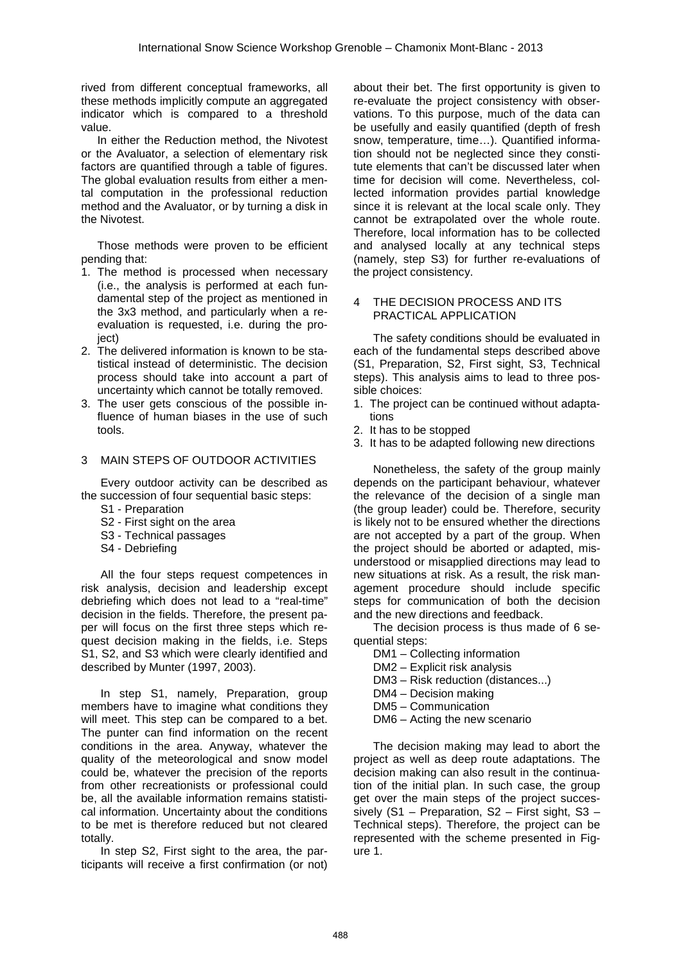rived from different conceptual frameworks, all these methods implicitly compute an aggregated indicator which is compared to a threshold value.

In either the Reduction method, the Nivotest or the Avaluator, a selection of elementary risk factors are quantified through a table of figures. The global evaluation results from either a mental computation in the professional reduction method and the Avaluator, or by turning a disk in the Nivotest.

Those methods were proven to be efficient pending that:

- 1. The method is processed when necessary (i.e., the analysis is performed at each fundamental step of the project as mentioned in the 3x3 method, and particularly when a reevaluation is requested, i.e. during the proiect)
- 2. The delivered information is known to be statistical instead of deterministic. The decision process should take into account a part of uncertainty which cannot be totally removed.
- 3. The user gets conscious of the possible influence of human biases in the use of such tools.

#### 3 MAIN STEPS OF OUTDOOR ACTIVITIES

Every outdoor activity can be described as the succession of four sequential basic steps:

- S1 Preparation
- S2 First sight on the area
- S3 Technical passages
- S4 Debriefing

All the four steps request competences in risk analysis, decision and leadership except debriefing which does not lead to a "real-time" decision in the fields. Therefore, the present paper will focus on the first three steps which request decision making in the fields, i.e. Steps S1, S2, and S3 which were clearly identified and described by Munter (1997, 2003).

In step S1, namely, Preparation, group members have to imagine what conditions they will meet. This step can be compared to a bet. The punter can find information on the recent conditions in the area. Anyway, whatever the quality of the meteorological and snow model could be, whatever the precision of the reports from other recreationists or professional could be, all the available information remains statistical information. Uncertainty about the conditions to be met is therefore reduced but not cleared totally.

In step S2, First sight to the area, the participants will receive a first confirmation (or not) about their bet. The first opportunity is given to re-evaluate the project consistency with observations. To this purpose, much of the data can be usefully and easily quantified (depth of fresh snow, temperature, time…). Quantified information should not be neglected since they constitute elements that can't be discussed later when time for decision will come. Nevertheless, collected information provides partial knowledge since it is relevant at the local scale only. They cannot be extrapolated over the whole route. Therefore, local information has to be collected and analysed locally at any technical steps (namely, step S3) for further re-evaluations of the project consistency.

#### 4 THE DECISION PROCESS AND ITS PRACTICAL APPLICATION

The safety conditions should be evaluated in each of the fundamental steps described above (S1, Preparation, S2, First sight, S3, Technical steps). This analysis aims to lead to three possible choices:

- 1. The project can be continued without adaptations
- 2. It has to be stopped
- 3. It has to be adapted following new directions

Nonetheless, the safety of the group mainly depends on the participant behaviour, whatever the relevance of the decision of a single man (the group leader) could be. Therefore, security is likely not to be ensured whether the directions are not accepted by a part of the group. When the project should be aborted or adapted, misunderstood or misapplied directions may lead to new situations at risk. As a result, the risk management procedure should include specific steps for communication of both the decision and the new directions and feedback.

The decision process is thus made of 6 sequential steps:

- DM1 Collecting information
- DM2 Explicit risk analysis
- DM3 Risk reduction (distances...)
- DM4 Decision making
- DM5 Communication
- DM6 Acting the new scenario

The decision making may lead to abort the project as well as deep route adaptations. The decision making can also result in the continuation of the initial plan. In such case, the group get over the main steps of the project successively (S1 – Preparation, S2 – First sight, S3 – Technical steps). Therefore, the project can be represented with the scheme presented in Figure 1.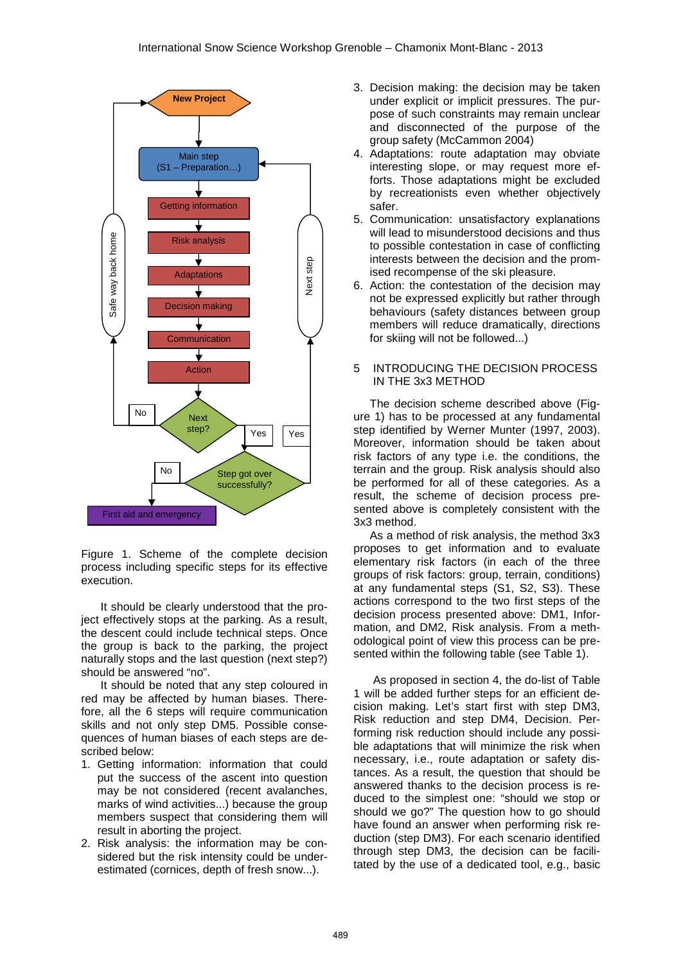

Figure 1. Scheme of the complete decision process including specific steps for its effective execution.

It should be clearly understood that the project effectively stops at the parking. As a result, the descent could include technical steps. Once the group is back to the parking, the project naturally stops and the last question (next step?) should be answered "no".

It should be noted that any step coloured in red may be affected by human biases. Therefore, all the 6 steps will require communication skills and not only step DM5. Possible consequences of human biases of each steps are described below:

- 1. Getting information: information that could put the success of the ascent into question may be not considered (recent avalanches, marks of wind activities...) because the group members suspect that considering them will result in aborting the project.
- 2. Risk analysis: the information may be considered but the risk intensity could be underestimated (cornices, depth of fresh snow...).
- 3. Decision making: the decision may be taken under explicit or implicit pressures. The purpose of such constraints may remain unclear and disconnected of the purpose of the group safety (McCammon 2004)
- 4. Adaptations: route adaptation may obviate interesting slope, or may request more efforts. Those adaptations might be excluded by recreationists even whether objectively safer.
- 5. Communication: unsatisfactory explanations will lead to misunderstood decisions and thus to possible contestation in case of conflicting interests between the decision and the promised recompense of the ski pleasure.
- 6. Action: the contestation of the decision may not be expressed explicitly but rather through behaviours (safety distances between group members will reduce dramatically, directions for skiing will not be followed...)

#### 5 INTRODUCING THE DECISION PROCESS IN THE 3x3 METHOD

The decision scheme described above (Figure 1) has to be processed at any fundamental step identified by Werner Munter (1997, 2003). Moreover, information should be taken about risk factors of any type i.e. the conditions, the terrain and the group. Risk analysis should also be performed for all of these categories. As a result, the scheme of decision process presented above is completely consistent with the 3x3 method.

As a method of risk analysis, the method 3x3 proposes to get information and to evaluate elementary risk factors (in each of the three groups of risk factors: group, terrain, conditions) at any fundamental steps (S1, S2, S3). These actions correspond to the two first steps of the decision process presented above: DM1, Information, and DM2, Risk analysis. From a methodological point of view this process can be presented within the following table (see Table 1).

As proposed in section 4, the do-list of Table 1 will be added further steps for an efficient decision making. Let's start first with step DM3, Risk reduction and step DM4, Decision. Performing risk reduction should include any possible adaptations that will minimize the risk when necessary, i.e., route adaptation or safety distances. As a result, the question that should be answered thanks to the decision process is reduced to the simplest one: "should we stop or should we go?" The question how to go should have found an answer when performing risk reduction (step DM3). For each scenario identified through step DM3, the decision can be facilitated by the use of a dedicated tool, e.g., basic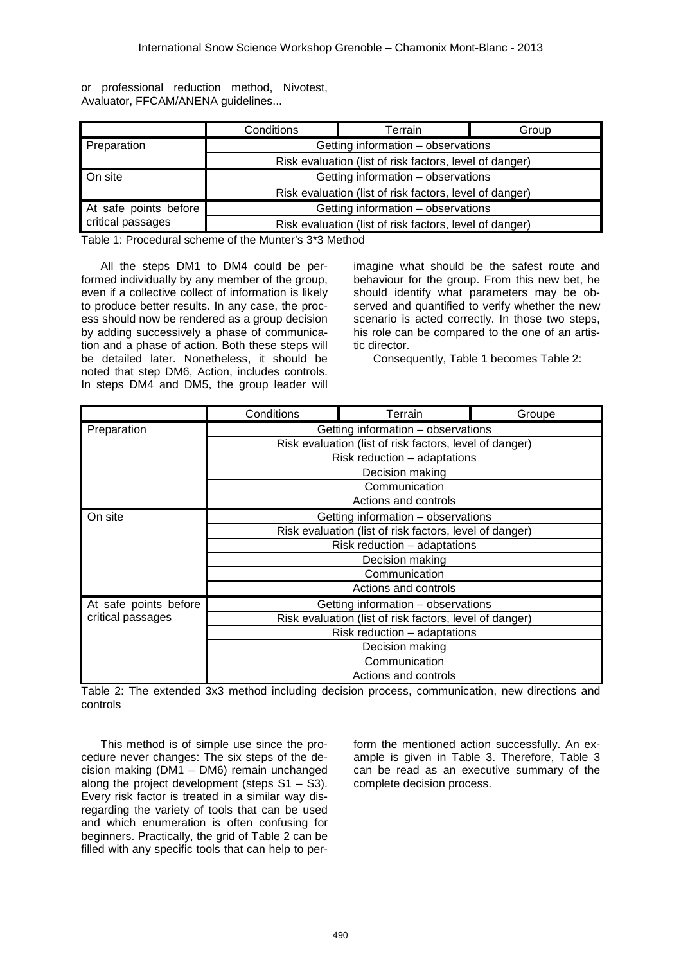|                                   | or professional reduction method, Nivotest, |  |  |  |  |  |  |
|-----------------------------------|---------------------------------------------|--|--|--|--|--|--|
| Avaluator, FFCAM/ANENA guidelines |                                             |  |  |  |  |  |  |

|                       | Conditions                                              | Terrain                                                 | Group |  |
|-----------------------|---------------------------------------------------------|---------------------------------------------------------|-------|--|
| Preparation           | Getting information - observations                      |                                                         |       |  |
|                       | Risk evaluation (list of risk factors, level of danger) |                                                         |       |  |
| On site               | Getting information - observations                      |                                                         |       |  |
|                       | Risk evaluation (list of risk factors, level of danger) |                                                         |       |  |
| At safe points before | Getting information - observations                      |                                                         |       |  |
| critical passages     |                                                         | Risk evaluation (list of risk factors, level of danger) |       |  |

Table 1: Procedural scheme of the Munter's 3\*3 Method

All the steps DM1 to DM4 could be performed individually by any member of the group, even if a collective collect of information is likely to produce better results. In any case, the process should now be rendered as a group decision by adding successively a phase of communication and a phase of action. Both these steps will be detailed later. Nonetheless, it should be noted that step DM6, Action, includes controls. In steps DM4 and DM5, the group leader will

imagine what should be the safest route and behaviour for the group. From this new bet, he should identify what parameters may be observed and quantified to verify whether the new scenario is acted correctly. In those two steps, his role can be compared to the one of an artistic director.

Consequently, Table 1 becomes Table 2:

|                       | Conditions                                              | Terrain | Groupe |  |  |
|-----------------------|---------------------------------------------------------|---------|--------|--|--|
| Preparation           | Getting information - observations                      |         |        |  |  |
|                       | Risk evaluation (list of risk factors, level of danger) |         |        |  |  |
|                       | Risk reduction - adaptations                            |         |        |  |  |
|                       | Decision making                                         |         |        |  |  |
|                       | Communication                                           |         |        |  |  |
|                       | Actions and controls                                    |         |        |  |  |
| On site               | Getting information – observations                      |         |        |  |  |
|                       | Risk evaluation (list of risk factors, level of danger) |         |        |  |  |
|                       | Risk reduction - adaptations                            |         |        |  |  |
|                       | Decision making                                         |         |        |  |  |
|                       | Communication                                           |         |        |  |  |
|                       | Actions and controls                                    |         |        |  |  |
| At safe points before | Getting information - observations                      |         |        |  |  |
| critical passages     | Risk evaluation (list of risk factors, level of danger) |         |        |  |  |
|                       | Risk reduction - adaptations                            |         |        |  |  |
|                       | Decision making                                         |         |        |  |  |
|                       | Communication                                           |         |        |  |  |
|                       | Actions and controls                                    |         |        |  |  |

Table 2: The extended 3x3 method including decision process, communication, new directions and controls

This method is of simple use since the procedure never changes: The six steps of the decision making (DM1 – DM6) remain unchanged along the project development (steps  $S1 - \overline{S}3$ ). Every risk factor is treated in a similar way disregarding the variety of tools that can be used and which enumeration is often confusing for beginners. Practically, the grid of Table 2 can be filled with any specific tools that can help to perform the mentioned action successfully. An example is given in Table 3. Therefore, Table 3 can be read as an executive summary of the complete decision process.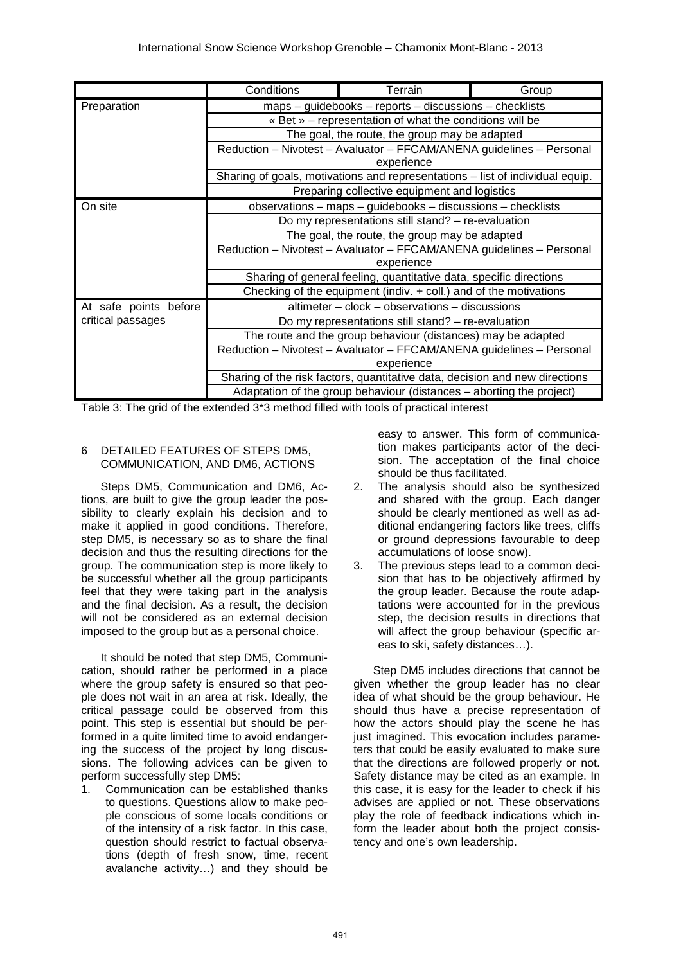|                       | Conditions                                                                                                                                                                                     | Terrain                                         | Group |  |  |
|-----------------------|------------------------------------------------------------------------------------------------------------------------------------------------------------------------------------------------|-------------------------------------------------|-------|--|--|
| Preparation           | maps - guidebooks - reports - discussions - checklists                                                                                                                                         |                                                 |       |  |  |
|                       | « Bet » – representation of what the conditions will be<br>The goal, the route, the group may be adapted<br>Reduction - Nivotest - Avaluator - FFCAM/ANENA guidelines - Personal<br>experience |                                                 |       |  |  |
|                       |                                                                                                                                                                                                |                                                 |       |  |  |
|                       |                                                                                                                                                                                                |                                                 |       |  |  |
|                       | Sharing of goals, motivations and representations - list of individual equip.                                                                                                                  |                                                 |       |  |  |
|                       | Preparing collective equipment and logistics                                                                                                                                                   |                                                 |       |  |  |
| On site               | observations - maps - guidebooks - discussions - checklists                                                                                                                                    |                                                 |       |  |  |
|                       | Do my representations still stand? - re-evaluation                                                                                                                                             |                                                 |       |  |  |
|                       | The goal, the route, the group may be adapted                                                                                                                                                  |                                                 |       |  |  |
|                       | Reduction - Nivotest - Avaluator - FFCAM/ANENA guidelines - Personal                                                                                                                           |                                                 |       |  |  |
|                       | experience                                                                                                                                                                                     |                                                 |       |  |  |
|                       | Sharing of general feeling, quantitative data, specific directions                                                                                                                             |                                                 |       |  |  |
|                       | Checking of the equipment (indiv. $+$ coll.) and of the motivations                                                                                                                            |                                                 |       |  |  |
| At safe points before |                                                                                                                                                                                                | $altmeter - clock - observations - discussions$ |       |  |  |
| critical passages     | Do my representations still stand? - re-evaluation                                                                                                                                             |                                                 |       |  |  |
|                       | The route and the group behaviour (distances) may be adapted                                                                                                                                   |                                                 |       |  |  |
|                       | Reduction - Nivotest - Avaluator - FFCAM/ANENA guidelines - Personal                                                                                                                           |                                                 |       |  |  |
|                       | experience                                                                                                                                                                                     |                                                 |       |  |  |
|                       | Sharing of the risk factors, quantitative data, decision and new directions                                                                                                                    |                                                 |       |  |  |
|                       | Adaptation of the group behaviour (distances – aborting the project)                                                                                                                           |                                                 |       |  |  |

Table 3: The grid of the extended 3\*3 method filled with tools of practical interest

# 6 DETAILED FEATURES OF STEPS DM5, COMMUNICATION, AND DM6, ACTIONS

Steps DM5, Communication and DM6, Actions, are built to give the group leader the possibility to clearly explain his decision and to make it applied in good conditions. Therefore, step DM5, is necessary so as to share the final decision and thus the resulting directions for the group. The communication step is more likely to be successful whether all the group participants feel that they were taking part in the analysis and the final decision. As a result, the decision will not be considered as an external decision imposed to the group but as a personal choice.

It should be noted that step DM5, Communication, should rather be performed in a place where the group safety is ensured so that people does not wait in an area at risk. Ideally, the critical passage could be observed from this point. This step is essential but should be performed in a quite limited time to avoid endangering the success of the project by long discussions. The following advices can be given to perform successfully step DM5:

1. Communication can be established thanks to questions. Questions allow to make people conscious of some locals conditions or of the intensity of a risk factor. In this case, question should restrict to factual observations (depth of fresh snow, time, recent avalanche activity…) and they should be

easy to answer. This form of communication makes participants actor of the decision. The acceptation of the final choice should be thus facilitated.

- 2. The analysis should also be synthesized and shared with the group. Each danger should be clearly mentioned as well as additional endangering factors like trees, cliffs or ground depressions favourable to deep accumulations of loose snow).
- 3. The previous steps lead to a common decision that has to be objectively affirmed by the group leader. Because the route adaptations were accounted for in the previous step, the decision results in directions that will affect the group behaviour (specific areas to ski, safety distances…).

Step DM5 includes directions that cannot be given whether the group leader has no clear idea of what should be the group behaviour. He should thus have a precise representation of how the actors should play the scene he has just imagined. This evocation includes parameters that could be easily evaluated to make sure that the directions are followed properly or not. Safety distance may be cited as an example. In this case, it is easy for the leader to check if his advises are applied or not. These observations play the role of feedback indications which inform the leader about both the project consistency and one's own leadership.